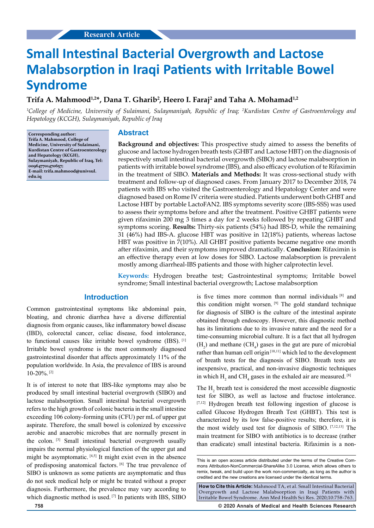# **Small Intestinal Bacterial Overgrowth and Lactose Malabsorption in Iraqi Patients with Irritable Bowel Syndrome**

# **Trifa A. Mahmood1,2\*, Dana T. Gharib2 , Heero I. Faraj2 and Taha A. Mohamad1,2**

*1 College of Medicine, University of Sulaimani, Sulaymaniyah, Republic of Iraq; 2 Kurdistan Centre of Gastroenterology and Hepatology (KCGH), Sulaymaniyah, Republic of Iraq*

**Corresponding author: Trifa A. Mahmood, College of Medicine, University of Sulaimani, Kurdistan Centre of Gastroenterology and Hepatology (KCGH), Sulaymaniyah, Republic of Iraq, Tel: 009647701470657; E-mail: trifa.mahmood@univsul. edu.iq**

## **Abstract**

**Background and objectives:** This prospective study aimed to assess the benefits of glucose and lactose hydrogen breath tests (GHBT and Lactose HBT) on the diagnosis of respectively small intestinal bacterial overgrowth (SIBO) and lactose malabsorption in patients with irritable bowel syndrome (IBS), and also efficacy evolution of te Rifaximin in the treatment of SIBO. **Materials and Methods:** It was cross-sectional study with treatment and follow-up of diagnosed cases. From January 2017 to December 2018, 74 patients with IBS who visited the Gastroenterology and Hepatology Center and were diagnosed based on Rome IV criteria were studied. Patients underwent both GHBT and Lactose HBT by portable LactoFAN2. IBS symptoms severity score (IBS-SSS) was used to assess their symptoms before and after the treatment. Positive GHBT patients were given rifaximin 200 mg 3 times a day for 2 weeks followed by repeating GHBT and symptoms scoring. **Results:** Thirty-six patients (54%) had IBS-D, while the remaining 31 (46%) had IBS-A. glucose HBT was positive in 12(18%) patients, whereas lactose HBT was positive in 7(10%). All GHBT positive patients became negative one month after rifaximin, and their symptoms improved dramatically. **Conclusion:** Rifaximin is an effective therapy even at low doses for SIBO. Lactose malabsorption is prevalent mostly among diarrheal-IBS patients and those with higher calprotectin level.

**Keywords:** Hydrogen breathe test; Gastrointestinal symptoms; Irritable bowel syndrome; Small intestinal bacterial overgrowth; Lactose malabsorption

# **Introduction**

Common gastrointestinal symptoms like abdominal pain, bloating, and chronic diarrhea have a diverse differential diagnosis from organic causes, like inflammatory bowel disease (IBD), colorectal cancer, celiac disease, food intolerance, to functional causes like irritable bowel syndrome (IBS). [1] Irritable bowel syndrome is the most commonly diagnosed gastrointestinal disorder that affects approximately 11% of the population worldwide. In Asia, the prevalence of IBS is around 10-20%. [2]

It is of interest to note that IBS-like symptoms may also be produced by small intestinal bacterial overgrowth (SIBO) and lactose malabsorption. Small intestinal bacterial overgrowth refers to the high growth of colonic bacteria in the small intestine exceeding 106 colony-forming units (CFU) per mL of upper gut aspirate. Therefore, the small bowel is colonized by excessive aerobic and anaerobic microbes that are normally present in the colon. [3] Small intestinal bacterial overgrowth usually impairs the normal physiological function of the upper gut and might be asymptomatic. [4,5] It might exist even in the absence of predisposing anatomical factors. [6] The true prevalence of SIBO is unknown as some patients are asymptomatic and thus do not seek medical help or might be treated without a proper diagnosis. Furthermore, the prevalence may vary according to which diagnostic method is used. [7] In patients with IBS, SIBO

is five times more common than normal individuals [8] and this condition might worsen. [9] The gold standard technique for diagnosis of SIBO is the culture of the intestinal aspirate obtained through endoscopy. However, this diagnostic method has its limitations due to its invasive nature and the need for a time-consuming microbial culture. It is a fact that all hydrogen  $(H_2)$  and methane  $(CH_4)$  gases in the gut are pure of microbial rather than human cell origin [10,11] which led to the development of breath tests for the diagnosis of SIBO. Breath tests are inexpensive, practical, and non-invasive diagnostic techniques in which  $H_2$  and CH<sub>4</sub> gases in the exhaled air are measured.<sup>[8]</sup>

The  $H_2$  breath test is considered the most accessible diagnostic test for SIBO, as well as lactose and fructose intolerance. [7,12] Hydrogen breath test following ingestion of glucose is called Glucose Hydrogen Breath Test (GHBT). This test is characterized by its low false-positive results; therefore, it is the most widely used test for diagnosis of SIBO. [7,12,13] The main treatment for SIBO with antibiotics is to decrease (rather than eradicate) small intestinal bacteria. Rifaximin is a non-

**How to Cite this Article:** Mahmood TA, et al. Small Intestinal Bacterial Overgrowth and Lactose Malabsorption in Iraqi Patients with Irritable Bowel Syndrome. Ann Med Health Sci Res. 2020;10:758-763.

**758 © 2020 Annals of Medical and Health Sciences Research** 

This is an open access article distributed under the terms of the Creative Commons Attribution-NonCommercial-ShareAlike 3.0 License, which allows others to remix, tweak, and build upon the work non‑commercially, as long as the author is credited and the new creations are licensed under the identical terms.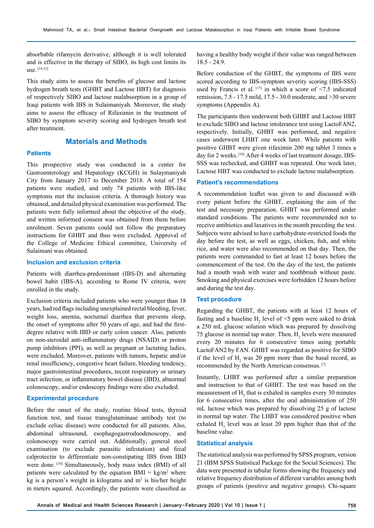absorbable rifamycin derivative, although it is well tolerated and is effective in the therapy of SIBO, its high cost limits its use. [14,15]

This study aims to assess the benefits of glucose and lactose hydrogen breath tests (GHBT and Lactose HBT) for diagnosis of respectively SIBO and lactose malabsorption in a group of Iraqi patients with IBS in Sulaimaniyah. Moreover, the study aims to assess the efficacy of Rifaximin in the treatment of SIBO by symptom severity scoring and hydrogen breath test after treatment.

# **Materials and Methods**

## **Patients**

This prospective study was conducted in a center for Gastroenterology and Hepatology (KCGH) in Sulaymaniyah City from January 2017 to December 2018. A total of 154 patients were studied, and only 74 patients with IBS-like symptoms met the inclusion criteria. A thorough history was obtained, and detailed physical examination was performed. The patients were fully informed about the objective of the study, and written informed consent was obtained from them before enrolment. Seven patients could not follow the preparatory instructions for GHBT and thus were excluded. Approval of the College of Medicine Ethical committee, University of Sulaimani was obtained.

#### **Inclusion and exclusion criteria**

Patients with diarrhea-predominant (IBS-D) and alternating bowel habit (IBS-A), according to Rome IV criteria, were enrolled in the study.

Exclusion criteria included patients who were younger than 18 years, had red flags including unexplained rectal bleeding, fever, weight loss, anemia, nocturnal diarrhea that prevents sleep, the onset of symptoms after 50 years of age, and had the firstdegree relative with IBD or early colon cancer. Also, patients on non-steroidal anti-inflammatory drugs (NSAID) or proton pump inhibitors (PPI), as well as pregnant or lactating ladies, were excluded. Moreover, patients with tumors, hepatic and/or renal insufficiency, congestive heart failure, bleeding tendency, major gastrointestinal procedures, recent respiratory or urinary tract infection, or inflammatory bowel disease (IBD), abnormal colonoscopy, and/or endoscopy findings were also excluded.

#### **Experimental procedure**

Before the onset of the study, routine blood tests, thyroid function test, and tissue transglutaminase antibody test (to exclude celiac disease) were conducted for all patients. Also, abdominal ultrasound, esophagogastroduodenoscopy, and colonoscopy were carried out. Additionally, general stool examination (to exclude parasitic infestation) and fecal calprotectin to differentiate non-constipating IBS from IBD were done. [16] Simultaneously, body mass index (BMI) of all patients were calculated by the equation  $BMI = kg/m^2$  where kg is a person's weight in kilograms and  $m<sup>2</sup>$  is his/her height in meters squared. Accordingly, the patients were classified as having a healthy body weight if their value was ranged between 18.5 - 24.9.

Before conduction of the GHBT, the symptoms of IBS were scored according to IBS-symptom severity scoring (IBS-SSS) used by Francis et al.  $[17]$  in which a score of <7.5 indicated remission, 7.5 - 17.5 mild, 17.5 - 30.0 moderate, and >30 severe symptoms (Appendix A).

The participants then underwent both GHBT and Lactose HBT to exclude SIBO and lactose intolerance test using LactoFAN2, respectively. Initially, GHBT was performed, and negative cases underwent LHBT one week later. While patients with positive GHBT were given rifaximin 200 mg tablet 3 times a day for 2 weeks. [18] After 4 weeks of last treatment dosage, IBS-SSS was rechecked, and GHBT was repeated. One week later, Lactose HBT was conducted to exclude lactose malabsorption.

#### **Patient's recommendations**

A recommendation leaflet was given to and discussed with every patient before the GHBT, explaining the aim of the test and necessary preparation. GHBT was performed under standard conditions. The patients were recommended not to receive antibiotics and laxatives in the month preceding the test. Subjects were advised to have carbohydrate-restricted foods the day before the test, as well as eggs, chicken, fish, and white rice, and water were also recommended on that day. Then, the patients were commanded to fast at least 12 hours before the commencement of the test. On the day of the test, the patients had a mouth wash with water and toothbrush without paste. Smoking and physical exercises were forbidden 12 hours before and during the test day.

#### **Test procedure**

Regarding the GHBT, the patients with at least 12 hours of fasting and a baseline  $H_2$  level of <5 ppm were asked to drink a 250 mL glucose solution which was prepared by dissolving 75 glucose in normal tap water. Then,  $H_2$  levels were measured every 20 minutes for 6 consecutive times using portable LactoFAN2 by FAN. GHBT was regarded as positive for SIBO if the level of  $H_2$  was 20 ppm more than the basal record, as recommended by the North American consensus. [7]

Instantly, LHBT was performed after a similar preparation and instruction to that of GHBT. The test was based on the measurement of  $H_2$  that is exhaled in samples every 30 minutes for 6 consecutive times, after the oral administration of 250 mL lactose which was prepared by dissolving 25 g of lactose in normal tap water. The LHBT was considered positive when exhaled  $H_2$  level was at least 20 ppm higher than that of the baseline value.

#### **Statistical analysis**

The statistical analysis was performed by SPSS program, version 21 (IBM SPSS Statistical Package for the Social Sciences). The data were presented in tabular forms showing the frequency and relative frequency distribution of different variables among both groups of patients (positive and negative groups). Chi-square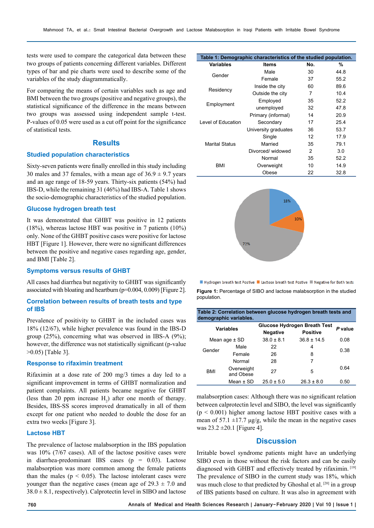tests were used to compare the categorical data between these two groups of patients concerning different variables. Different types of bar and pie charts were used to describe some of the variables of the study diagrammatically.

For comparing the means of certain variables such as age and BMI between the two groups (positive and negative groups), the statistical significance of the difference in the means between two groups was assessed using independent sample t-test. P-values of 0.05 were used as a cut off point for the significance of statistical tests.

# **Results**

## **Studied population characteristics**

Sixty-seven patients were finally enrolled in this study including 30 males and 37 females, with a mean age of  $36.9 \pm 9.7$  years and an age range of 18-59 years. Thirty-six patients (54%) had IBS-D, while the remaining 31 (46%) had IBS-A. Table 1 shows the socio-demographic characteristics of the studied population.

#### **Glucose hydrogen breath test**

It was demonstrated that GHBT was positive in 12 patients (18%), whereas lactose HBT was positive in 7 patients (10%) only. None of the GHBT positive cases were positive for lactose HBT [Figure 1]. However, there were no significant differences between the positive and negative cases regarding age, gender, and BMI [Table 2].

#### **Symptoms versus results of GHBT**

All cases had diarrhea but negativity to GHBT was significantly associated with bloating and heartburn (p=0.004, 0.009) [Figure 2].

#### **Correlation between results of breath tests and type of IBS**

Prevalence of positivity to GHBT in the included cases was 18% (12/67), while higher prevalence was found in the IBS-D group (25%), concerning what was observed in IBS-A (9%); however, the difference was not statistically significant (p-value >0.05) [Table 3].

### **Response to rifaximin treatment**

Rifaximin at a dose rate of 200 mg/3 times a day led to a significant improvement in terms of GHBT normalization and patient complaints. All patients became negative for GHBT (less than 20 ppm increase  $H_2$ ) after one month of therapy. Besides, IBS-SS scores improved dramatically in all of them except for one patient who needed to double the dose for an extra two weeks [Figure 3].

#### **Lactose HBT**

The prevalence of lactose malabsorption in the IBS population was 10% (7/67 cases). All of the lactose positive cases were in diarrhea-predominant IBS cases  $(p = 0.03)$ . Lactose malabsorption was more common among the female patients than the males ( $p < 0.05$ ). The lactose intolerant cases were younger than the negative cases (mean age of  $29.3 \pm 7.0$  and  $38.0 \pm 8.1$ , respectively). Calprotectin level in SIBO and lactose

|                       | Table 1: Demographic characteristics of the studied population. |     |      |
|-----------------------|-----------------------------------------------------------------|-----|------|
| <b>Variables</b>      | ltems                                                           | No. | %    |
| Gender                | Male                                                            | 30  | 44.8 |
|                       | Female                                                          | 37  | 55.2 |
| Residency             | Inside the city                                                 | 60  | 89.6 |
|                       | Outside the city                                                | 7   | 10.4 |
|                       | Employed                                                        | 35  | 52.2 |
| Employment            | unemployed                                                      | 32  | 47.8 |
|                       | Primary (informal)                                              | 14  | 20.9 |
| Level of Education    | Secondary                                                       | 17  | 25.4 |
|                       | University graduates                                            | 36  | 53.7 |
| <b>Marital Status</b> | Single                                                          | 12  | 17.9 |
|                       | Married                                                         | 35  | 79.1 |
|                       | Divorced/widowed                                                | 2   | 3.0  |
| <b>BMI</b>            | Normal                                                          | 35  | 52.2 |
|                       | Overweight                                                      | 10  | 14.9 |
|                       | Obese                                                           | 22  | 32.8 |



Hydrogen breath test Postive Lactose breath test Postive Negative for Both tests

**Figure 1:** Percentage of SIBO and lactose malabsorption in the studied population.

| Table 2: Correlation between glucose hydrogen breath tests and<br>demographic variables. |                         |                                     |                 |         |  |  |
|------------------------------------------------------------------------------------------|-------------------------|-------------------------------------|-----------------|---------|--|--|
| <b>Variables</b>                                                                         |                         | <b>Glucose Hydrogen Breath Test</b> |                 | P value |  |  |
|                                                                                          |                         | <b>Negative</b>                     | <b>Positive</b> |         |  |  |
| Mean age $\pm$ SD                                                                        |                         | $38.0 \pm 8.1$                      | $36.8 \pm 14.5$ | 0.08    |  |  |
| Gender                                                                                   | Male                    | 22                                  | 4               | 0.38    |  |  |
|                                                                                          | Female                  | 26                                  | 8               |         |  |  |
| <b>BMI</b>                                                                               | Normal                  | 28                                  | 7               | 0.64    |  |  |
|                                                                                          | Overweight<br>and Obese | 27                                  | 5               |         |  |  |
|                                                                                          | Mean $\pm$ SD           | $25.0 \pm 5.0$                      | $26.3 \pm 8.0$  | 0.50    |  |  |

malabsorption cases: Although there was no significant relation between calprotectin level and SIBO, the level was significantly  $(p < 0.001)$  higher among lactose HBT positive cases with a mean of 57.1  $\pm$ 17.7 μg/g, while the mean in the negative cases was  $23.2 \pm 20.1$  [Figure 4].

## **Discussion**

Irritable bowel syndrome patients might have an underlying SIBO even in those without the risk factors and can be easily diagnosed with GHBT and effectively treated by rifaximin. [19] The prevalence of SIBO in the current study was 18%, which was much close to that predicted by Ghoshal et al. [20] in a group of IBS patients based on culture. It was also in agreement with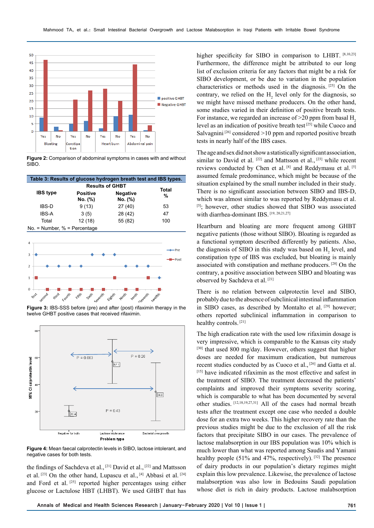

**Figure 2:** Comparison of abdominal symptoms in cases with and without SIBO.

| Table 3: Results of glucose hydrogen breath test and IBS types. |                            |                            |     |  |  |  |
|-----------------------------------------------------------------|----------------------------|----------------------------|-----|--|--|--|
|                                                                 | <b>Results of GHBT</b>     | Total                      |     |  |  |  |
| <b>IBS</b> type                                                 | <b>Positive</b><br>No. (%) | <b>Negative</b><br>No. (%) | %   |  |  |  |
| <b>IBS-D</b>                                                    | 9(13)                      | 27(40)                     | 53  |  |  |  |
| <b>IBS-A</b>                                                    | 3(5)                       | 28 (42)                    | 47  |  |  |  |
| Total                                                           | 12(18)                     | 55 (82)                    | 100 |  |  |  |
| No. = Number, $%$ = Percentage                                  |                            |                            |     |  |  |  |



**Figure 3:** IBS-SSS before (pre) and after (post) rifaximin therapy in the twelve GHBT positive cases that received rifaximin.



**Figure 4:** Mean faecal calprotectin levels in SIBO, lactose intolerant, and negative cases for both tests.

the findings of Sachdeva et al., [21] David et al., [22] and Mattsson et al. [23] On the other hand, Lupascu et al., [4] Abbasi et al. [24] and Ford et al. [25] reported higher percentages using either glucose or Lactulose HBT (LHBT). We used GHBT that has

higher specificity for SIBO in comparison to LHBT. [8,10,23] Furthermore, the difference might be attributed to our long list of exclusion criteria for any factors that might be a risk for SIBO development, or be due to variation in the population characteristics or methods used in the diagnosis. [25] On the contrary, we relied on the  $H_2$  level only for the diagnosis, so we might have missed methane producers. On the other hand, some studies varied in their definition of positive breath tests. For instance, we regarded an increase of  $>20$  ppm from basal H<sub>2</sub> level as an indication of positive breath test [25] while Cuoco and Salvagnini<sup>[26]</sup> considered  $>10$  ppm and reported positive breath tests in nearly half of the IBS cases.

The age and sex did not show a statistically significant association, similar to David et al.  $[22]$  and Mattsson et al.,  $[23]$  while recent reviews conducted by Chen et al. [8] and Reddymasu et al. [5] assumed female predominance, which might be because of the situation explained by the small number included in their study. There is no significant association between SIBO and IBS-D, which was almost similar to was reported by Reddymasu et al. [5]; however, other studies showed that SIBO was associated with diarrhea-dominant IBS. [19, 20, 21, 27]

Heartburn and bloating are more frequent among GHBT negative patients (those without SIBO). Bloating is regarded as a functional symptom described differently by patients. Also, the diagnosis of SIBO in this study was based on  $H_2$  level, and constipation type of IBS was excluded, but bloating is mainly associated with constipation and methane producers. [28] On the contrary, a positive association between SIBO and bloating was observed by Sachdeva et al. [21]

There is no relation between calprotectin level and SIBO, probably due to the absence of subclinical intestinal inflammation in SIBO cases, as described by Montalto et al. [29] however; others reported subclinical inflammation in comparison to healthy controls. [21]

The high eradication rate with the used low rifaximin dosage is very impressive, which is comparable to the Kansas city study [30] that used 800 mg/day. However, others suggest that higher doses are needed for maximum eradication, but numerous recent studies conducted by as Cuoco et al., [26] and Gatta et al. [15] have indicated rifaximin as the most effective and safest in the treatment of SIBO. The treatment decreased the patients' complaints and improved their symptoms severity scoring, which is comparable to what has been documented by several other studies. [12,18,19,27,31] All of the cases had normal breath tests after the treatment except one case who needed a double dose for an extra two weeks. This higher recovery rate than the previous studies might be due to the exclusion of all the risk factors that precipitate SIBO in our cases. The prevalence of lactose malabsorption in our IBS population was 10% which is much lower than what was reported among Saudis and Yamani healthy people (51% and 47%, respectively). [32] The presence of dairy products in our population's dietary regimes might explain this low prevalence. Likewise, the prevalence of lactose malabsorption was also low in Bedouins Saudi population whose diet is rich in dairy products. Lactose malabsorption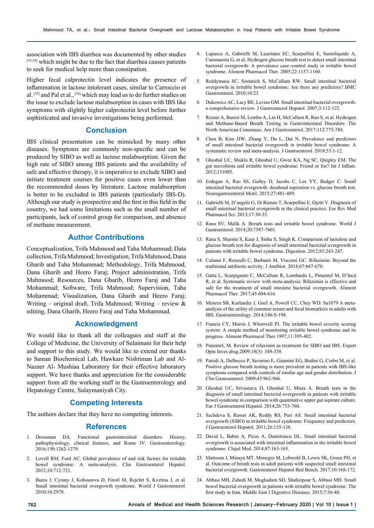association with IBS diarrhea was documented by other studies [33,34] which might be due to the fact that diarrhea causes patients to seek for medical help more than constipation.

Higher fecal calprotectin level indicates the presence of inflammation in lactose intolerant cases, similar to Carroccio et al. [35] and Pal et al., [36] which may lead us to do further studies on the issue to exclude lactose malabsorption in cases with IBS like symptoms with slightly higher calprotectin level before further sophisticated and invasive investigations being performed.

# **Conclusion**

IBS clinical presentation can be mimicked by many other diseases. Symptoms are commonly non-specific and can be produced by SIBO as well as lactose malabsorption. Given the high rate of SIBO among IBS patients and the availability of safe and effective therapy, it is imperative to exclude SIBO and initiate treatment courses for positive cases even lower than the recommended doses by literature. Lactose malabsorption is better to be excluded in IBS patients (particularly IBS-D). Although our study is prospective and the first in this field in the country, we had some limitations such as the small number of participants, lack of control group for comparison, and absence of methane measurement.

# **Author Contributions**

Conceptualization, Trifa Mahmood and Taha Mohammad; Data collection, Trifa Mahmood; Investigation, Trifa Mahmood, Dana Gharib and Taha Mohammad; Methodology, Trifa Mahmood, Dana Gharib and Heero Faraj; Project administration, Trifa Mahmood; Resources, Dana Gharib, Heero Faraj and Taha Mohammad; Software, Trifa Mahmood; Supervision, Taha Mohammad; Visualization, Dana Gharib and Heero Faraj; Writing – original draft, Trifa Mahmood; Writing – review & editing, Dana Gharib, Heero Faraj and Taha Mohammad.

## **Acknowledgment**

We would like to thank all the colleagues and staff at the College of Medicine, the University of Sulaimani for their help and support to this study. We would like to extend our thanks to Saman Biochemical Lab, Hawkare Nishtiman Lab and Al-Nazaer Al- Mushiaa Laboratory for their effective laboratory support. We have thanks and appreciation for the considerable support from all the working staff in the Gastroenterology and Hepatology Centre, Sulaymaniyah City.

#### **Competing Interests**

The authors declare that they have no competing interests.

#### **References**

- 1. Drossman DA. Functional gastrointestinal disorders: History, pathophysiology, clinical features, and Rome IV. Gastroenterology. 2016;150:1262-1279.
- 2. Lovell RM, Ford AC. Global prevalence of and risk factors for irritable bowel syndrome: A meta-analysis. Clin Gastroenterol Hepatol. 2012;10:712-721.
- 3. Bures J, Cyrany J, Kohoutova D, Förstl M, Rejchrt S, Kvetina J, et al. Small intestinal bacterial overgrowth syndrome. World J Gastroenterol. 2010;16:2978.
- 4. Lupascu A, Gabrielli M, Lauritano EC, Scarpellini E, Santoliquido A, Cammarota G, et al. Hydrogen glucose breath test to detect small intestinal bacterial overgrowth: A prevalence case–control study in irritable bowel syndrome. Aliment Pharmacol Ther. 2005;22:1157-1160.
- 5. Reddymasu SC, Sostarich S, McCallum RW. Small intestinal bacterial overgrowth in irritable bowel syndrome: Are there any predictors? BMC Gastroenterol. 2010;10:23.
- 6. Dukowicz AC, Lacy BE, Levine GM. Small intestinal bacterial overgrowth: a comprehensive review. J Gastroenterol Hepatol. 2007;3:112-122.
- 7. Rezaie A, Buresi M, Lembo A, Lin H, McCallum R, Rao S, et al. Hydrogen and Methane-Based Breath Testing in Gastrointestinal Disorders: The North American Consensus. Am J Gastroenterol. 2017;112:775-784.
- 8. Chen B, Kim JJW, Zhang Y, Du L, Dai N. Prevalence and predictors of small intestinal bacterial overgrowth in irritable bowel syndrome: A systematic review and meta-analysis. J Gastroenterol. 2018;53:1-12.
- 9. Ghoshal UC, Shukla R, Ghoshal U, Gwee KA, Ng SC, Quigley EM. The gut microbiota and irritable bowel syndrome: Friend or foe? Int J Inflam. 2012;151085.
- 10. Erdogan A, Rao SS, Gulley D, Jacobs C, Lee YY, Badger C. Small intestinal bacterial overgrowth: duodenal aspiration vs. glucose breath test. Neurogastroenterol Motil. 2015;27:481-489.
- 11. Gabrielli M, D'angelo G, Di Rienzo T, Scarpellini E, Ojetti V. Diagnosis of small intestinal bacterial overgrowth in the clinical practice. Eur Rev Med Pharmacol Sci. 2013;17:30-35.
- 12. Rana SV, Malik A. Breath tests and irritable bowel syndrome. World J Gastroenterol. 2014;20:7587-7601.
- 13. Rana S, Sharma S, Kaur J, Sinha S, Singh K. Comparison of lactulose and glucose breath test for diagnosis of small intestinal bacterial overgrowth in patients with irritable bowel syndrome. Digestion. 2012;85:243-247.
- 14. Calanni F, Renzulli C, Barbanti M, Viscomi GC. Rifaximin: Beyond the traditional antibiotic activity. J Antibiot. 2014;67:667-670.
- 15. Gatta L, Scarpignato C, McCallum R, Lombardo L, Pimentel M, D'Incà R, et al. Systematic review with meta-analysis: Rifaximin is effective and safe for the treatment of small intestine bacterial overgrowth. Aliment Pharmacol Ther. 2017;45:604-616.
- 16. Menees SB, Kurlander J, Goel A, Powell CC, Chey WD. Sa1079 A metaanalysis of the utility of common serum and fecal biomarkers in adults with IBS. Gastroenterology. 2014;146:S-194.
- 17. Francis CY, Morris J, Whorwell PJ. The irritable bowel severity scoring system: A simple method of monitoring irritable bowel syndrome and its progress. Aliment Pharmacol Ther.1997;11:395-402.
- 18. Pimentel, M. Review of rifaximin as treatment for SIBO and IBS. Expert Opin Inves drug.2009;18(3): 349-358.
- 19. Parodi A, Dulbecco P, Savarino E, Giannini EG, Bodini G, Corbo M, et al. Positive glucose breath testing is more prevalent in patients with IBS-like symptoms compared with controls of similar age and gender distribution. J Clin Gastroenterol. 2009;43:962-966.
- 20. Ghoshal UC, Srivastava D, Ghoshal U, Misra A. Breath tests in the diagnosis of small intestinal bacterial overgrowth in patients with irritable bowel syndrome in comparison with quantitative upper gut aspirate culture. Eur J Gastroenterol Hepatol. 2014;26:753-760.
- 21. Sachdeva S, Rawat AK, Reddy RS, Puri AS. Small intestinal bacterial overgrowth (SIBO) in irritable bowel syndrome: Frequency and predictors. J Gastroenterol Hepatol. 2011;26:135-138.
- 22. David L, Babin A, Picos A, Dumitrascu DL. Small intestinal bacterial overgrowth is associated with intestinal inflammation in the irritable bowel syndrome. Clujul Med. 2014;87:163-165.
- 23. Mattsson J, Minaya MT, Monegro M, Lebwohl B, Lewis SK, Green PH, et al. Outcome of breath tests in adult patients with suspected small intestinal bacterial overgrowth. Gastroenterol Hepatol Bed Bench. 2017;10:168-172.
- 24. Abbasi MH, Zahedi M, Moghadam SD, Shafieipour S, Abbasi MH. Small bowel bacterial overgrowth in patients with irritable bowel syndrome: The first study in Iran. Middle East J Digestive Diseases. 2015;7:36-40.